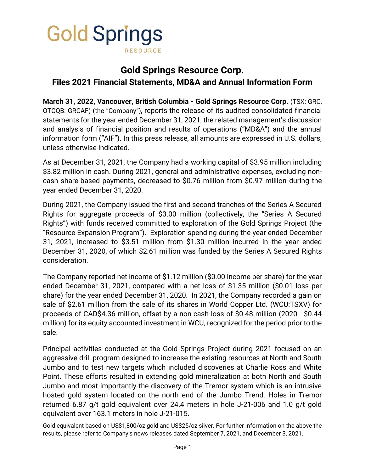

# **Gold Springs Resource Corp. Files 2021 Financial Statements, MD&A and Annual Information Form**

**March 31, 2022, Vancouver, British Columbia - Gold Springs Resource Corp.** (TSX: GRC, OTCQB: GRCAF) (the "Company"), reports the release of its audited consolidated financial statements for the year ended December 31, 2021, the related management's discussion and analysis of financial position and results of operations ("MD&A") and the annual information form ("AIF"). In this press release, all amounts are expressed in U.S. dollars, unless otherwise indicated.

As at December 31, 2021, the Company had a working capital of \$3.95 million including \$3.82 million in cash. During 2021, general and administrative expenses, excluding noncash share-based payments, decreased to \$0.76 million from \$0.97 million during the year ended December 31, 2020.

During 2021, the Company issued the first and second tranches of the Series A Secured Rights for aggregate proceeds of \$3.00 million (collectively, the "Series A Secured Rights") with funds received committed to exploration of the Gold Springs Project (the "Resource Expansion Program"). Exploration spending during the year ended December 31, 2021, increased to \$3.51 million from \$1.30 million incurred in the year ended December 31, 2020, of which \$2.61 million was funded by the Series A Secured Rights consideration.

The Company reported net income of \$1.12 million (\$0.00 income per share) for the year ended December 31, 2021, compared with a net loss of \$1.35 million (\$0.01 loss per share) for the year ended December 31, 2020. In 2021, the Company recorded a gain on sale of \$2.61 million from the sale of its shares in World Copper Ltd. (WCU:TSXV) for proceeds of CAD\$4.36 million, offset by a non-cash loss of \$0.48 million (2020 - \$0.44 million) for its equity accounted investment in WCU, recognized for the period prior to the sale.

Principal activities conducted at the Gold Springs Project during 2021 focused on an aggressive drill program designed to increase the existing resources at North and South Jumbo and to test new targets which included discoveries at Charlie Ross and White Point. These efforts resulted in extending gold mineralization at both North and South Jumbo and most importantly the discovery of the Tremor system which is an intrusive hosted gold system located on the north end of the Jumbo Trend. Holes in Tremor returned 6.87 g/t gold equivalent over 24.4 meters in hole J-21-006 and 1.0 g/t gold equivalent over 163.1 meters in hole J-21-015.

Gold equivalent based on US\$1,800/oz gold and US\$25/oz silver. For further information on the above the results, please refer to Company's news releases dated September 7, 2021, and December 3, 2021.